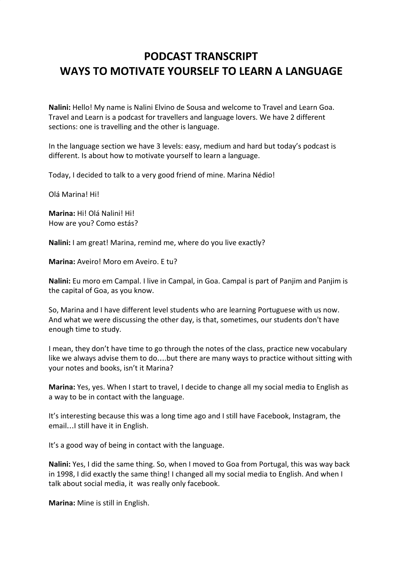# **PODCAST TRANSCRIPT WAYS TO MOTIVATE YOURSELF TO LEARN A LANGUAGE**

**Nalini:** Hello! My name is Nalini Elvino de Sousa and welcome to Travel and Learn Goa. Travel and Learn is a podcast for travellers and language lovers. We have 2 different sections: one is travelling and the other is language.

In the language section we have 3 levels: easy, medium and hard but today's podcast is different. Is about how to motivate yourself to learn a language.

Today, I decided to talk to a very good friend of mine. Marina Nédio!

Olá Marina! Hi!

**Marina:** Hi! Olá Nalini! Hi! How are you? Como estás?

**Nalini:** I am great! Marina, remind me, where do you live exactly?

**Marina:** Aveiro! Moro em Aveiro. E tu?

**Nalini:** Eu moro em Campal. I live in Campal, in Goa. Campal is part of Panjim and Panjim is the capital of Goa, as you know.

So, Marina and I have different level students who are learning Portuguese with us now. And what we were discussing the other day, is that, sometimes, our students don't have enough time to study.

I mean, they don't have time to go through the notes of the class, practice new vocabulary like we always advise them to do….but there are many ways to practice without sitting with your notes and books, isn't it Marina?

**Marina:** Yes, yes. When I start to travel, I decide to change all my social media to English as a way to be in contact with the language.

It's interesting because this was a long time ago and I still have Facebook, Instagram, the email…I still have it in English.

It's a good way of being in contact with the language.

**Nalini:** Yes, I did the same thing. So, when I moved to Goa from Portugal, this was way back in 1998, I did exactly the same thing! I changed all my social media to English. And when I talk about social media, it was really only facebook.

**Marina:** Mine is still in English.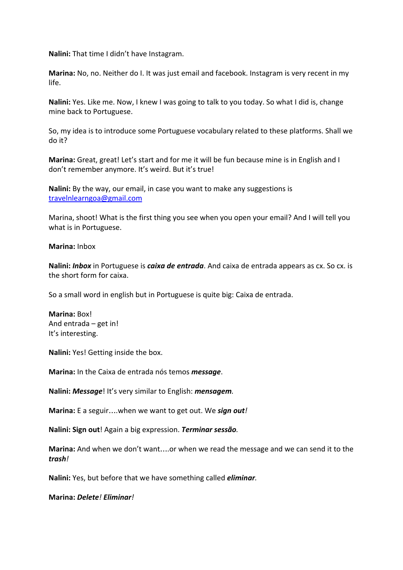**Nalini:** That time I didn't have Instagram.

**Marina:** No, no. Neither do I. It was just email and facebook. Instagram is very recent in my life.

**Nalini:** Yes. Like me. Now, I knew I was going to talk to you today. So what I did is, change mine back to Portuguese.

So, my idea is to introduce some Portuguese vocabulary related to these platforms. Shall we do it?

**Marina:** Great, great! Let's start and for me it will be fun because mine is in English and I don't remember anymore. It's weird. But it's true!

**Nalini:** By the way, our email, in case you want to make any suggestions is [travelnlearngoa@gmail.com](mailto:travelnlearngoa@gmail.com)

Marina, shoot! What is the first thing you see when you open your email? And I will tell you what is in Portuguese.

## **Marina:** Inbox

**Nalini:** *Inbox* in Portuguese is *caixa de entrada*. And caixa de entrada appears as cx. So cx. is the short form for caixa.

So a small word in english but in Portuguese is quite big: Caixa de entrada.

**Marina:** Box! And entrada – get in! It's interesting.

**Nalini:** Yes! Getting inside the box.

**Marina:** In the Caixa de entrada nós temos *message*.

**Nalini:** *Message*! It's very similar to English: *mensagem.*

**Marina:** E a seguir….when we want to get out. We *sign out!*

**Nalini: Sign out**! Again a big expression. *Terminar sessão.*

**Marina:** And when we don't want….or when we read the message and we can send it to the *trash!*

**Nalini:** Yes, but before that we have something called *eliminar.*

**Marina:** *Delete! Eliminar!*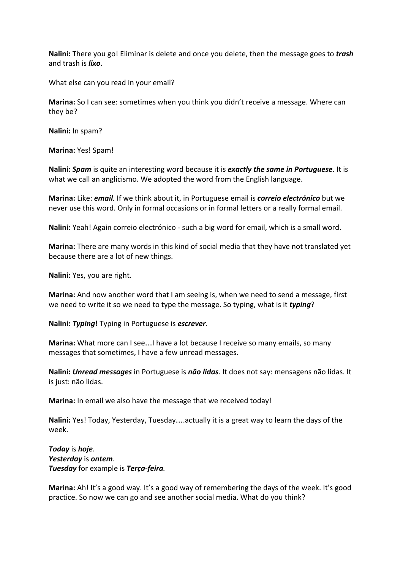**Nalini:** There you go! Eliminar is delete and once you delete, then the message goes to *trash* and trash is *lixo*.

What else can you read in your email?

**Marina:** So I can see: sometimes when you think you didn't receive a message. Where can they be?

**Nalini:** In spam?

**Marina:** Yes! Spam!

**Nalini:** *Spam* is quite an interesting word because it is *exactly the same in Portuguese*. It is what we call an anglicismo. We adopted the word from the English language.

**Marina:** Like: *email.* If we think about it, in Portuguese email is *correio electrónico* but we never use this word. Only in formal occasions or in formal letters or a really formal email.

**Nalini:** Yeah! Again correio electrónico - such a big word for email, which is a small word.

**Marina:** There are many words in this kind of social media that they have not translated yet because there are a lot of new things.

**Nalini:** Yes, you are right.

**Marina:** And now another word that I am seeing is, when we need to send a message, first we need to write it so we need to type the message. So typing, what is it *typing*?

**Nalini:** *Typing*! Typing in Portuguese is *escrever.*

**Marina:** What more can I see…I have a lot because I receive so many emails, so many messages that sometimes, I have a few unread messages.

**Nalini:** *Unread messages* in Portuguese is *não lidas*. It does not say: mensagens não lidas. It is just: não lidas.

**Marina:** In email we also have the message that we received today!

**Nalini:** Yes! Today, Yesterday, Tuesday….actually it is a great way to learn the days of the week.

*Today* is *hoje*. *Yesterday* is *ontem*. *Tuesday* for example is *Terça-feira.*

**Marina:** Ah! It's a good way. It's a good way of remembering the days of the week. It's good practice. So now we can go and see another social media. What do you think?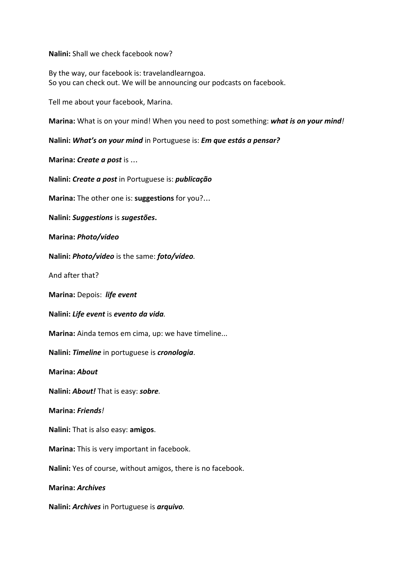**Nalini:** Shall we check facebook now?

By the way, our facebook is: travelandlearngoa. So you can check out. We will be announcing our podcasts on facebook.

Tell me about your facebook, Marina.

**Marina:** What is on your mind! When you need to post something: *what is on your mind!*

**Nalini:** *What's on your mind* in Portuguese is: *Em que estás a pensar?*

**Marina:** *Create a post* is …

**Nalini:** *Create a post* in Portuguese is: *publicação*

**Marina:** The other one is: **suggestions** for you?…

**Nalini:** *Suggestions* is *sugestões***.**

**Marina:** *Photo/video*

**Nalini:** *Photo/video* is the same: *foto/vídeo.*

And after that?

**Marina:** Depois: *life event*

**Nalini:** *Life event* is *evento da vida.*

**Marina:** Ainda temos em cima, up: we have timeline...

**Nalini:** *Timeline* in portuguese is *cronologia*.

**Marina:** *About*

**Nalini:** *About!* That is easy: *sobre.*

**Marina:** *Friends!*

**Nalini:** That is also easy: **amigos**.

**Marina:** This is very important in facebook.

**Nalini:** Yes of course, without amigos, there is no facebook.

**Marina:** *Archives*

**Nalini:** *Archives* in Portuguese is *arquivo.*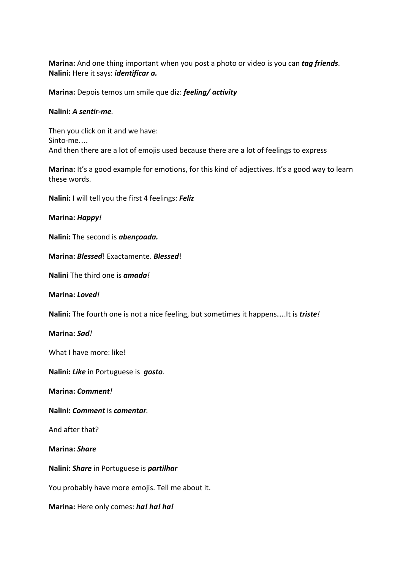**Marina:** And one thing important when you post a photo or video is you can *tag friends*. **Nalini:** Here it says: *identificar a.*

**Marina:** Depois temos um smile que diz: *feeling/ activity*

## **Nalini:** *A sentir-me.*

Then you click on it and we have: Sinto-me…. And then there are a lot of emojis used because there are a lot of feelings to express

**Marina:** It's a good example for emotions, for this kind of adjectives. It's a good way to learn these words.

**Nalini:** I will tell you the first 4 feelings: *Feliz*

**Marina:** *Happy!*

**Nalini:** The second is *abençoada.*

**Marina:** *Blessed*! Exactamente. *Blessed*!

**Nalini** The third one is *amada!*

**Marina:** *Loved!*

**Nalini:** The fourth one is not a nice feeling, but sometimes it happens….It is *triste!*

**Marina:** *Sad!*

What I have more: like!

**Nalini:** *Like* in Portuguese is *gosto.*

**Marina:** *Comment!*

**Nalini:** *Comment* is *comentar.*

And after that?

**Marina:** *Share*

**Nalini:** *Share* in Portuguese is *partilhar*

You probably have more emojis. Tell me about it.

**Marina:** Here only comes: *ha! ha! ha!*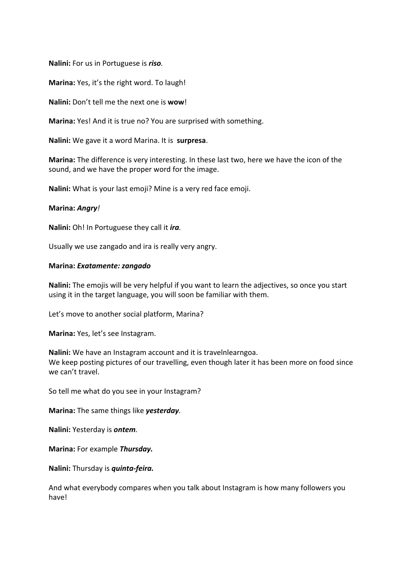**Nalini:** For us in Portuguese is *riso.*

**Marina:** Yes, it's the right word. To laugh!

**Nalini:** Don't tell me the next one is **wow**!

**Marina:** Yes! And it is true no? You are surprised with something.

**Nalini:** We gave it a word Marina. It is **surpresa**.

**Marina:** The difference is very interesting. In these last two, here we have the icon of the sound, and we have the proper word for the image.

**Nalini:** What is your last emoji? Mine is a very red face emoji.

## **Marina:** *Angry!*

**Nalini:** Oh! In Portuguese they call it *ira.*

Usually we use zangado and ira is really very angry.

#### **Marina:** *Exatamente: zangado*

**Nalini:** The emojis will be very helpful if you want to learn the adjectives, so once you start using it in the target language, you will soon be familiar with them.

Let's move to another social platform, Marina?

**Marina:** Yes, let's see Instagram.

**Nalini:** We have an Instagram account and it is travelnlearngoa. We keep posting pictures of our travelling, even though later it has been more on food since we can't travel.

So tell me what do you see in your Instagram?

**Marina:** The same things like *yesterday.*

**Nalini:** Yesterday is *ontem.*

**Marina:** For example *Thursday.*

**Nalini:** Thursday is *quinta-feira.*

And what everybody compares when you talk about Instagram is how many followers you have!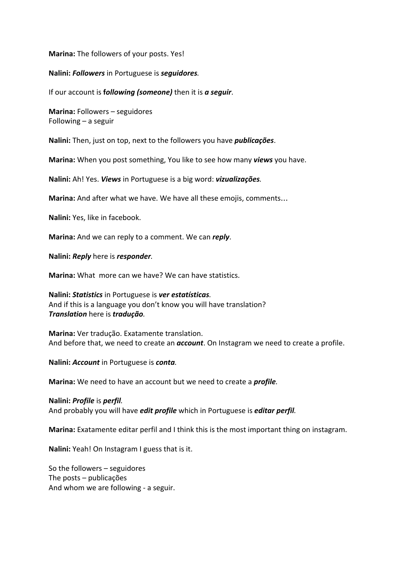## **Marina:** The followers of your posts. Yes!

**Nalini:** *Followers* in Portuguese is *seguidores.*

If our account is **f***ollowing (someone)* then it is *a seguir*.

**Marina:** Followers – seguidores Following – a seguir

**Nalini:** Then, just on top, next to the followers you have *publicações*.

**Marina:** When you post something, You like to see how many *views* you have.

**Nalini:** Ah! Yes. *Views* in Portuguese is a big word: *vizualizações.*

**Marina:** And after what we have. We have all these emojis, comments…

**Nalini:** Yes, like in facebook.

**Marina:** And we can reply to a comment. We can *reply*.

**Nalini:** *Reply* here is *responder.*

**Marina:** What more can we have? We can have statistics.

**Nalini:** *Statistics* in Portuguese is *ver estatísticas.* And if this is a language you don't know you will have translation? *Translation* here is *tradução.*

**Marina:** Ver tradução. Exatamente translation. And before that, we need to create an *account*. On Instagram we need to create a profile.

**Nalini:** *Account* in Portuguese is *conta.*

**Marina:** We need to have an account but we need to create a *profile.*

#### **Nalini:** *Profile* is *perfil.*

And probably you will have *edit profile* which in Portuguese is *editar perfil.*

**Marina:** Exatamente editar perfil and I think this is the most important thing on instagram.

**Nalini:** Yeah! On Instagram I guess that is it.

So the followers – seguidores The posts – publicações And whom we are following - a seguir.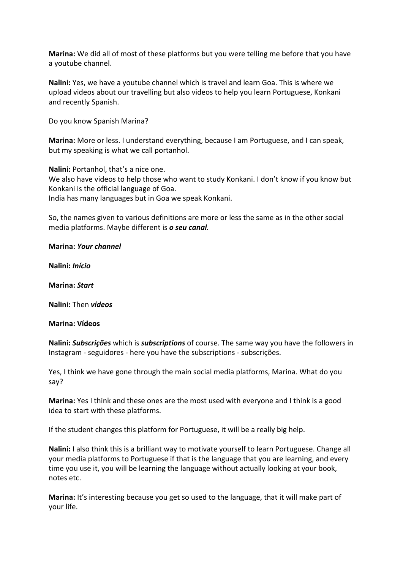**Marina:** We did all of most of these platforms but you were telling me before that you have a youtube channel.

**Nalini:** Yes, we have a youtube channel which is travel and learn Goa. This is where we upload videos about our travelling but also videos to help you learn Portuguese, Konkani and recently Spanish.

Do you know Spanish Marina?

**Marina:** More or less. I understand everything, because I am Portuguese, and I can speak, but my speaking is what we call portanhol.

**Nalini:** Portanhol, that's a nice one. We also have videos to help those who want to study Konkani. I don't know if you know but Konkani is the official language of Goa. India has many languages but in Goa we speak Konkani.

So, the names given to various definitions are more or less the same as in the other social media platforms. Maybe different is *o seu canal.*

**Marina:** *Your channel*

**Nalini:** *Início*

**Marina:** *Start*

**Nalini:** Then *vídeos*

**Marina: Vídeos**

**Nalini:** *Subscrições* which is *subscriptions* of course. The same way you have the followers in Instagram - seguidores - here you have the subscriptions - subscrições.

Yes, I think we have gone through the main social media platforms, Marina. What do you say?

**Marina:** Yes I think and these ones are the most used with everyone and I think is a good idea to start with these platforms.

If the student changes this platform for Portuguese, it will be a really big help.

**Nalini:** I also think this is a brilliant way to motivate yourself to learn Portuguese. Change all your media platforms to Portuguese if that is the language that you are learning, and every time you use it, you will be learning the language without actually looking at your book, notes etc.

**Marina:** It's interesting because you get so used to the language, that it will make part of your life.